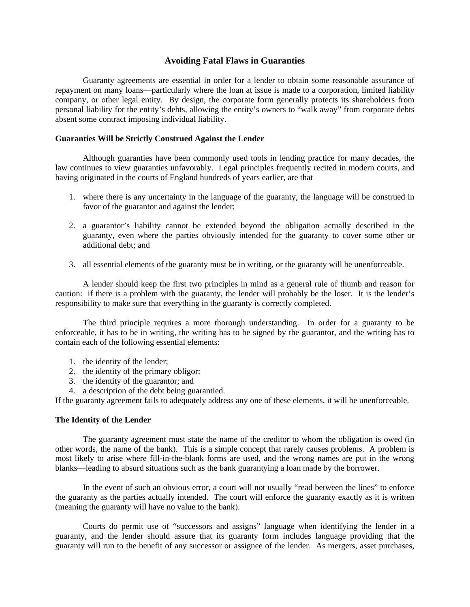# **Avoiding Fatal Flaws in Guaranties**

 Guaranty agreements are essential in order for a lender to obtain some reasonable assurance of repayment on many loans—particularly where the loan at issue is made to a corporation, limited liability company, or other legal entity. By design, the corporate form generally protects its shareholders from personal liability for the entity's debts, allowing the entity's owners to "walk away" from corporate debts absent some contract imposing individual liability.

## **Guaranties Will be Strictly Construed Against the Lender**

 Although guaranties have been commonly used tools in lending practice for many decades, the law continues to view guaranties unfavorably. Legal principles frequently recited in modern courts, and having originated in the courts of England hundreds of years earlier, are that

- 1. where there is any uncertainty in the language of the guaranty, the language will be construed in favor of the guarantor and against the lender;
- 2. a guarantor's liability cannot be extended beyond the obligation actually described in the guaranty, even where the parties obviously intended for the guaranty to cover some other or additional debt; and
- 3. all essential elements of the guaranty must be in writing, or the guaranty will be unenforceable.

 A lender should keep the first two principles in mind as a general rule of thumb and reason for caution: if there is a problem with the guaranty, the lender will probably be the loser. It is the lender's responsibility to make sure that everything in the guaranty is correctly completed.

 The third principle requires a more thorough understanding. In order for a guaranty to be enforceable, it has to be in writing, the writing has to be signed by the guarantor, and the writing has to contain each of the following essential elements:

- 1. the identity of the lender;
- 2. the identity of the primary obligor;
- 3. the identity of the guarantor; and
- 4. a description of the debt being guarantied.

If the guaranty agreement fails to adequately address any one of these elements, it will be unenforceable.

### **The Identity of the Lender**

 The guaranty agreement must state the name of the creditor to whom the obligation is owed (in other words, the name of the bank). This is a simple concept that rarely causes problems. A problem is most likely to arise where fill-in-the-blank forms are used, and the wrong names are put in the wrong blanks—leading to absurd situations such as the bank guarantying a loan made by the borrower.

 In the event of such an obvious error, a court will not usually "read between the lines" to enforce the guaranty as the parties actually intended. The court will enforce the guaranty exactly as it is written (meaning the guaranty will have no value to the bank).

 Courts do permit use of "successors and assigns" language when identifying the lender in a guaranty, and the lender should assure that its guaranty form includes language providing that the guaranty will run to the benefit of any successor or assignee of the lender. As mergers, asset purchases,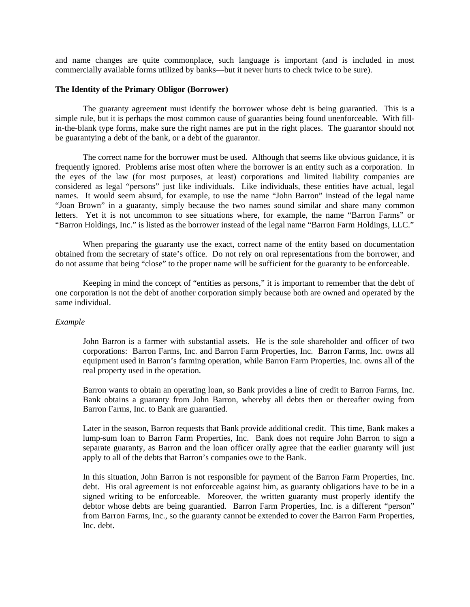and name changes are quite commonplace, such language is important (and is included in most commercially available forms utilized by banks—but it never hurts to check twice to be sure).

### **The Identity of the Primary Obligor (Borrower)**

 The guaranty agreement must identify the borrower whose debt is being guarantied. This is a simple rule, but it is perhaps the most common cause of guaranties being found unenforceable. With fillin-the-blank type forms, make sure the right names are put in the right places. The guarantor should not be guarantying a debt of the bank, or a debt of the guarantor.

 The correct name for the borrower must be used. Although that seems like obvious guidance, it is frequently ignored. Problems arise most often where the borrower is an entity such as a corporation. In the eyes of the law (for most purposes, at least) corporations and limited liability companies are considered as legal "persons" just like individuals. Like individuals, these entities have actual, legal names. It would seem absurd, for example, to use the name "John Barron" instead of the legal name "Joan Brown" in a guaranty, simply because the two names sound similar and share many common letters. Yet it is not uncommon to see situations where, for example, the name "Barron Farms" or "Barron Holdings, Inc." is listed as the borrower instead of the legal name "Barron Farm Holdings, LLC."

 When preparing the guaranty use the exact, correct name of the entity based on documentation obtained from the secretary of state's office. Do not rely on oral representations from the borrower, and do not assume that being "close" to the proper name will be sufficient for the guaranty to be enforceable.

 Keeping in mind the concept of "entities as persons," it is important to remember that the debt of one corporation is not the debt of another corporation simply because both are owned and operated by the same individual.

#### *Example*

John Barron is a farmer with substantial assets. He is the sole shareholder and officer of two corporations: Barron Farms, Inc. and Barron Farm Properties, Inc. Barron Farms, Inc. owns all equipment used in Barron's farming operation, while Barron Farm Properties, Inc. owns all of the real property used in the operation.

Barron wants to obtain an operating loan, so Bank provides a line of credit to Barron Farms, Inc. Bank obtains a guaranty from John Barron, whereby all debts then or thereafter owing from Barron Farms, Inc. to Bank are guarantied.

Later in the season, Barron requests that Bank provide additional credit. This time, Bank makes a lump-sum loan to Barron Farm Properties, Inc. Bank does not require John Barron to sign a separate guaranty, as Barron and the loan officer orally agree that the earlier guaranty will just apply to all of the debts that Barron's companies owe to the Bank.

In this situation, John Barron is not responsible for payment of the Barron Farm Properties, Inc. debt. His oral agreement is not enforceable against him, as guaranty obligations have to be in a signed writing to be enforceable. Moreover, the written guaranty must properly identify the debtor whose debts are being guarantied. Barron Farm Properties, Inc. is a different "person" from Barron Farms, Inc., so the guaranty cannot be extended to cover the Barron Farm Properties, Inc. debt.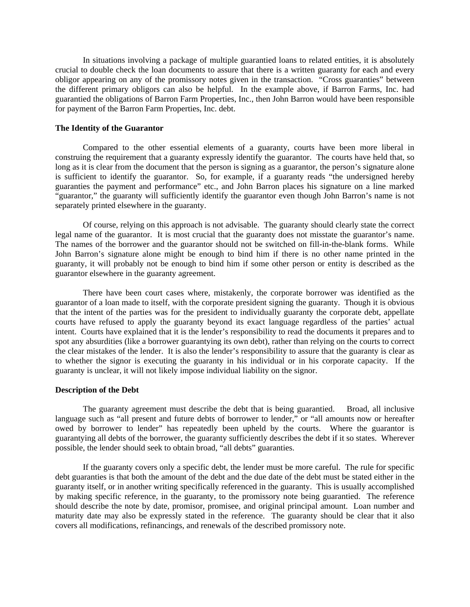In situations involving a package of multiple guarantied loans to related entities, it is absolutely crucial to double check the loan documents to assure that there is a written guaranty for each and every obligor appearing on any of the promissory notes given in the transaction. "Cross guaranties" between the different primary obligors can also be helpful. In the example above, if Barron Farms, Inc. had guarantied the obligations of Barron Farm Properties, Inc., then John Barron would have been responsible for payment of the Barron Farm Properties, Inc. debt.

### **The Identity of the Guarantor**

 Compared to the other essential elements of a guaranty, courts have been more liberal in construing the requirement that a guaranty expressly identify the guarantor. The courts have held that, so long as it is clear from the document that the person is signing as a guarantor, the person's signature alone is sufficient to identify the guarantor. So, for example, if a guaranty reads "the undersigned hereby guaranties the payment and performance" etc., and John Barron places his signature on a line marked "guarantor," the guaranty will sufficiently identify the guarantor even though John Barron's name is not separately printed elsewhere in the guaranty.

 Of course, relying on this approach is not advisable. The guaranty should clearly state the correct legal name of the guarantor. It is most crucial that the guaranty does not misstate the guarantor's name. The names of the borrower and the guarantor should not be switched on fill-in-the-blank forms. While John Barron's signature alone might be enough to bind him if there is no other name printed in the guaranty, it will probably not be enough to bind him if some other person or entity is described as the guarantor elsewhere in the guaranty agreement.

 There have been court cases where, mistakenly, the corporate borrower was identified as the guarantor of a loan made to itself, with the corporate president signing the guaranty. Though it is obvious that the intent of the parties was for the president to individually guaranty the corporate debt, appellate courts have refused to apply the guaranty beyond its exact language regardless of the parties' actual intent. Courts have explained that it is the lender's responsibility to read the documents it prepares and to spot any absurdities (like a borrower guarantying its own debt), rather than relying on the courts to correct the clear mistakes of the lender. It is also the lender's responsibility to assure that the guaranty is clear as to whether the signor is executing the guaranty in his individual or in his corporate capacity. If the guaranty is unclear, it will not likely impose individual liability on the signor.

#### **Description of the Debt**

 The guaranty agreement must describe the debt that is being guarantied. Broad, all inclusive language such as "all present and future debts of borrower to lender," or "all amounts now or hereafter owed by borrower to lender" has repeatedly been upheld by the courts. Where the guarantor is guarantying all debts of the borrower, the guaranty sufficiently describes the debt if it so states. Wherever possible, the lender should seek to obtain broad, "all debts" guaranties.

 If the guaranty covers only a specific debt, the lender must be more careful. The rule for specific debt guaranties is that both the amount of the debt and the due date of the debt must be stated either in the guaranty itself, or in another writing specifically referenced in the guaranty. This is usually accomplished by making specific reference, in the guaranty, to the promissory note being guarantied. The reference should describe the note by date, promisor, promisee, and original principal amount. Loan number and maturity date may also be expressly stated in the reference. The guaranty should be clear that it also covers all modifications, refinancings, and renewals of the described promissory note.